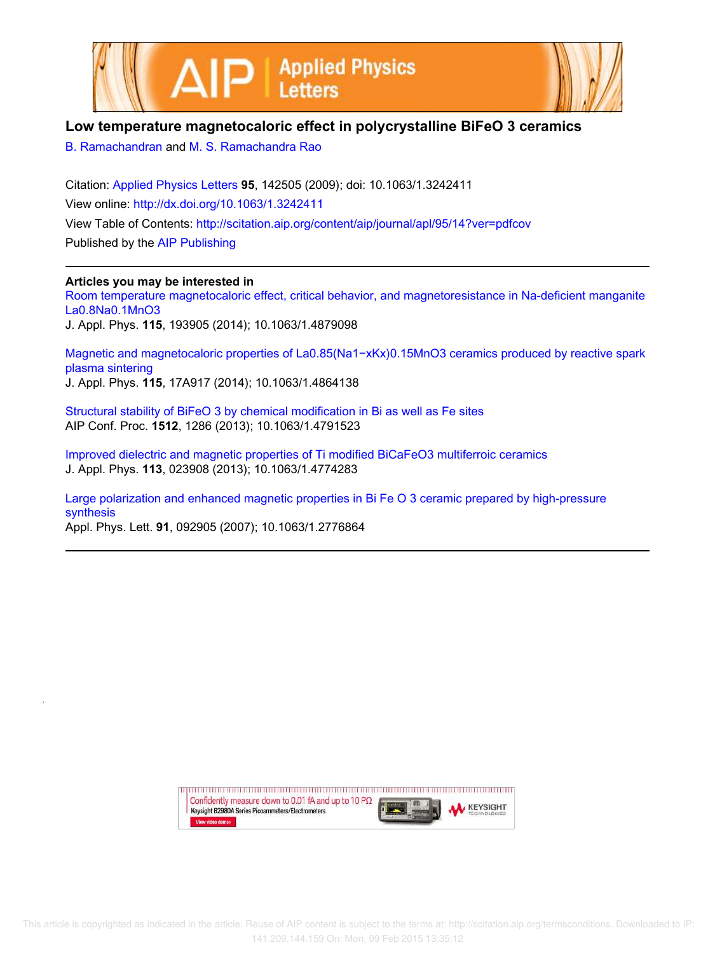



## **Low temperature magnetocaloric effect in polycrystalline BiFeO 3 ceramics**

B. Ramachandran and M. S. Ramachandra Rao

Citation: Applied Physics Letters **95**, 142505 (2009); doi: 10.1063/1.3242411 View online: http://dx.doi.org/10.1063/1.3242411 View Table of Contents: http://scitation.aip.org/content/aip/journal/apl/95/14?ver=pdfcov Published by the AIP Publishing

**Articles you may be interested in**

Room temperature magnetocaloric effect, critical behavior, and magnetoresistance in Na-deficient manganite La0.8Na0.1MnO3 J. Appl. Phys. **115**, 193905 (2014); 10.1063/1.4879098

Magnetic and magnetocaloric properties of La0.85(Na1−xKx)0.15MnO3 ceramics produced by reactive spark plasma sintering J. Appl. Phys. **115**, 17A917 (2014); 10.1063/1.4864138

Structural stability of BiFeO 3 by chemical modification in Bi as well as Fe sites AIP Conf. Proc. **1512**, 1286 (2013); 10.1063/1.4791523

Improved dielectric and magnetic properties of Ti modified BiCaFeO3 multiferroic ceramics J. Appl. Phys. **113**, 023908 (2013); 10.1063/1.4774283

Large polarization and enhanced magnetic properties in Bi Fe O 3 ceramic prepared by high-pressure synthesis

Appl. Phys. Lett. **91**, 092905 (2007); 10.1063/1.2776864

Confidently measure down to 0.01 fA and up to 10 P $\Omega$ **KEYSIGHT** Keysight B2980A Series Picoammeters/Electrometers View video demo>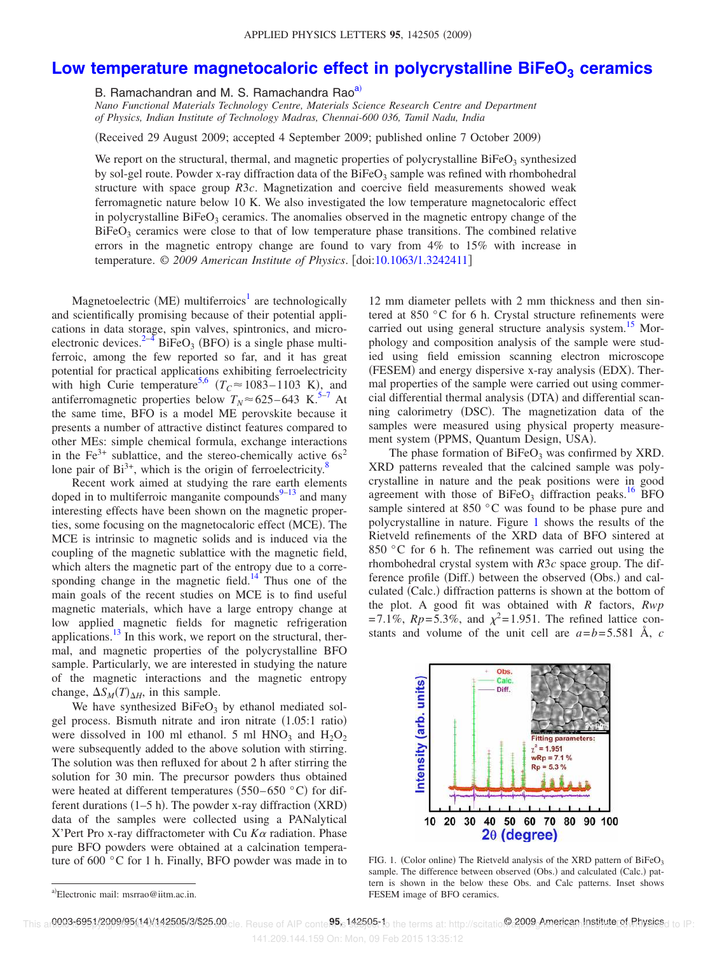## **Low temperature magnetocaloric effect in polycrystalline BiFeO<sub>3</sub> ceramics**

B. Ramachandran and M. S. Ramachandra Rao<sup>a)</sup>

*Nano Functional Materials Technology Centre, Materials Science Research Centre and Department of Physics, Indian Institute of Technology Madras, Chennai-600 036, Tamil Nadu, India*

Received 29 August 2009; accepted 4 September 2009; published online 7 October 2009-

We report on the structural, thermal, and magnetic properties of polycrystalline  $BiFeO<sub>3</sub>$  synthesized by sol-gel route. Powder x-ray diffraction data of the  $BiFeO_3$  sample was refined with rhombohedral structure with space group *R*3*c*. Magnetization and coercive field measurements showed weak ferromagnetic nature below 10 K. We also investigated the low temperature magnetocaloric effect in polycrystalline  $BiFeO<sub>3</sub>$  ceramics. The anomalies observed in the magnetic entropy change of the  $B$ iFeO<sub>3</sub> ceramics were close to that of low temperature phase transitions. The combined relative errors in the magnetic entropy change are found to vary from 4% to 15% with increase in temperature. © 2009 American Institute of Physics. [doi:10.1063/1.3242411]

Magnetoelectric (ME) multiferroics<sup>1</sup> are technologically and scientifically promising because of their potential applications in data storage, spin valves, spintronics, and microelectronic devices.<sup>2-4</sup> BiFeO<sub>3</sub> (BFO) is a single phase multiferroic, among the few reported so far, and it has great potential for practical applications exhibiting ferroelectricity with high Curie temperature<sup>5,6</sup>  $(T_c \approx 1083-1103 \text{ K})$ , and antiferromagnetic properties below  $T_N \approx 625-643$  K.<sup>5–7</sup> At the same time, BFO is a model ME perovskite because it presents a number of attractive distinct features compared to other MEs: simple chemical formula, exchange interactions in the Fe<sup>3+</sup> sublattice, and the stereo-chemically active  $6s^2$ lone pair of  $Bi^{3+}$ , which is the origin of ferroelectricity.<sup>8</sup>

Recent work aimed at studying the rare earth elements doped in to multiferroic manganite compounds $9-13$  and many interesting effects have been shown on the magnetic properties, some focusing on the magnetocaloric effect (MCE). The MCE is intrinsic to magnetic solids and is induced via the coupling of the magnetic sublattice with the magnetic field, which alters the magnetic part of the entropy due to a corresponding change in the magnetic field.<sup>14</sup> Thus one of the main goals of the recent studies on MCE is to find useful magnetic materials, which have a large entropy change at low applied magnetic fields for magnetic refrigeration applications. $^{13}$  In this work, we report on the structural, thermal, and magnetic properties of the polycrystalline BFO sample. Particularly, we are interested in studying the nature of the magnetic interactions and the magnetic entropy change,  $\Delta S_M(T)_{\Delta H}$ , in this sample.

We have synthesized  $BiFeO<sub>3</sub>$  by ethanol mediated solgel process. Bismuth nitrate and iron nitrate (1.05:1 ratio) were dissolved in 100 ml ethanol. 5 ml  $HNO<sub>3</sub>$  and  $H<sub>2</sub>O<sub>2</sub>$ were subsequently added to the above solution with stirring. The solution was then refluxed for about 2 h after stirring the solution for 30 min. The precursor powders thus obtained were heated at different temperatures  $(550-650 \degree C)$  for different durations  $(1-5 h)$ . The powder x-ray diffraction  $(XRD)$ data of the samples were collected using a PANalytical  $X'$ Pert Pro x-ray diffractometer with Cu  $K\alpha$  radiation. Phase pure BFO powders were obtained at a calcination temperature of 600 °C for 1 h. Finally, BFO powder was made in to

12 mm diameter pellets with 2 mm thickness and then sintered at 850 °C for 6 h. Crystal structure refinements were carried out using general structure analysis system.<sup>15</sup> Morphology and composition analysis of the sample were studied using field emission scanning electron microscope (FESEM) and energy dispersive x-ray analysis (EDX). Thermal properties of the sample were carried out using commercial differential thermal analysis (DTA) and differential scanning calorimetry (DSC). The magnetization data of the samples were measured using physical property measurement system (PPMS, Quantum Design, USA).

The phase formation of  $BiFeO<sub>3</sub>$  was confirmed by XRD. XRD patterns revealed that the calcined sample was polycrystalline in nature and the peak positions were in good agreement with those of  $BiFeO<sub>3</sub>$  diffraction peaks.<sup>16</sup> BFO sample sintered at  $850 \degree C$  was found to be phase pure and polycrystalline in nature. Figure 1 shows the results of the Rietveld refinements of the XRD data of BFO sintered at 850 °C for 6 h. The refinement was carried out using the rhombohedral crystal system with *R*3*c* space group. The difference profile (Diff.) between the observed (Obs.) and calculated (Calc.) diffraction patterns is shown at the bottom of the plot. A good fit was obtained with *R* factors, *Rwp* =7.1%,  $Rp = 5.3%$ , and  $\chi^2 = 1.951$ . The refined lattice constants and volume of the unit cell are  $a=b=5.581$  Å,  $c$ 



FIG. 1. (Color online) The Rietveld analysis of the XRD pattern of  $BiFeO<sub>3</sub>$ sample. The difference between observed (Obs.) and calculated (Calc.) pattern is shown in the below these Obs. and Calc patterns. Inset shows FESEM image of BFO ceramics.

a)Electronic mail: msrrao@iitm.ac.in.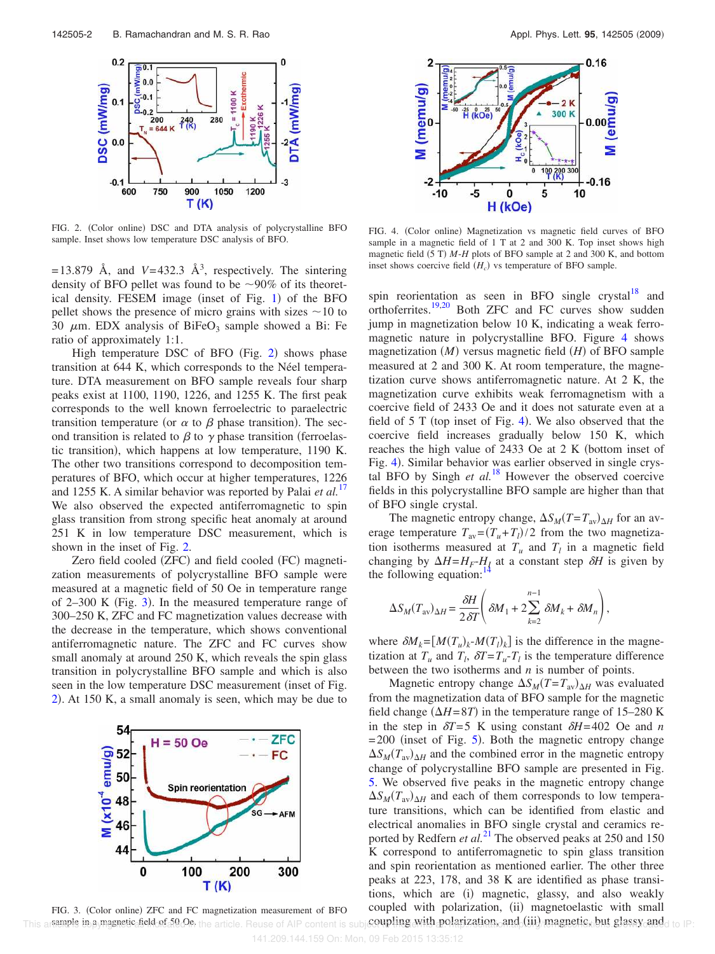

FIG. 2. (Color online) DSC and DTA analysis of polycrystalline BFO sample. Inset shows low temperature DSC analysis of BFO.

 $=13.879$  Å, and  $V=432.3$  Å<sup>3</sup>, respectively. The sintering density of BFO pellet was found to be  $\sim$ 90% of its theoretical density. FESEM image (inset of Fig. 1) of the BFO pellet shows the presence of micro grains with sizes  $\sim$  10 to 30  $\mu$ m. EDX analysis of BiFeO<sub>3</sub> sample showed a Bi: Fe ratio of approximately 1:1.

High temperature DSC of BFO (Fig. 2) shows phase transition at 644 K, which corresponds to the Néel temperature. DTA measurement on BFO sample reveals four sharp peaks exist at 1100, 1190, 1226, and 1255 K. The first peak corresponds to the well known ferroelectric to paraelectric transition temperature (or  $\alpha$  to  $\beta$  phase transition). The second transition is related to  $\beta$  to  $\gamma$  phase transition (ferroelastic transition), which happens at low temperature, 1190 K. The other two transitions correspond to decomposition temperatures of BFO, which occur at higher temperatures, 1226 and 1255 K. A similar behavior was reported by Palai *et al.*<sup>17</sup> We also observed the expected antiferromagnetic to spin glass transition from strong specific heat anomaly at around 251 K in low temperature DSC measurement, which is shown in the inset of Fig. 2.

Zero field cooled (ZFC) and field cooled (FC) magnetization measurements of polycrystalline BFO sample were measured at a magnetic field of 50 Oe in temperature range of 2–300 K (Fig. 3). In the measured temperature range of 300–250 K, ZFC and FC magnetization values decrease with the decrease in the temperature, which shows conventional antiferromagnetic nature. The ZFC and FC curves show small anomaly at around 250 K, which reveals the spin glass transition in polycrystalline BFO sample and which is also seen in the low temperature DSC measurement (inset of Fig.  $2$ ). At 150 K, a small anomaly is seen, which may be due to





FIG. 4. (Color online) Magnetization vs magnetic field curves of BFO sample in a magnetic field of 1 T at 2 and 300 K. Top inset shows high magnetic field (5 T) M-*H* plots of BFO sample at 2 and 300 K, and bottom inset shows coercive field  $(H_c)$  vs temperature of BFO sample.

spin reorientation as seen in BFO single crystal $18$  and orthoferrites.<sup>19,20</sup> Both ZFC and FC curves show sudden jump in magnetization below 10 K, indicating a weak ferromagnetic nature in polycrystalline BFO. Figure 4 shows magnetization  $(M)$  versus magnetic field  $(H)$  of BFO sample measured at 2 and 300 K. At room temperature, the magnetization curve shows antiferromagnetic nature. At 2 K, the magnetization curve exhibits weak ferromagnetism with a coercive field of 2433 Oe and it does not saturate even at a field of  $5$  T (top inset of Fig. 4). We also observed that the coercive field increases gradually below 150 K, which reaches the high value of 2433 Oe at 2 K (bottom inset of Fig. 4). Similar behavior was earlier observed in single crystal BFO by Singh *et al.*<sup>18</sup> However the observed coercive fields in this polycrystalline BFO sample are higher than that of BFO single crystal.

The magnetic entropy change,  $\Delta S_M(T = T_{av})_{\Delta H}$  for an average temperature  $T_{av} = (T_u + T_l)/2$  from the two magnetization isotherms measured at  $T_u$  and  $T_l$  in a magnetic field changing by  $\Delta H = H_F - H_I$  at a constant step  $\delta H$  is given by the following equation:

$$
\Delta S_M(T_{\text{av}})_{\Delta H} = \frac{\delta H}{2\delta T} \left( \delta M_1 + 2 \sum_{k=2}^{n-1} \delta M_k + \delta M_n \right),
$$

where  $\delta M_k = [M(T_u)_k - M(T_l)_k]$  is the difference in the magnetization at  $T_u$  and  $T_l$ ,  $\delta T = T_u - T_l$  is the temperature difference between the two isotherms and *n* is number of points.

Magnetic entropy change  $\Delta S_M(T=T_{av})_{\Delta H}$  was evaluated from the magnetization data of BFO sample for the magnetic field change  $(\Delta H = 8T)$  in the temperature range of 15–280 K in the step in  $\delta T = 5$  K using constant  $\delta H = 402$  Oe and *n*  $=$  200 (inset of Fig. 5). Both the magnetic entropy change  $\Delta S_M(T_{av})_{\Delta H}$  and the combined error in the magnetic entropy change of polycrystalline BFO sample are presented in Fig. 5. We observed five peaks in the magnetic entropy change  $\Delta S_M(T_{av})_{\Delta H}$  and each of them corresponds to low temperature transitions, which can be identified from elastic and electrical anomalies in BFO single crystal and ceramics reported by Redfern *et al.*<sup>21</sup> The observed peaks at 250 and 150 K correspond to antiferromagnetic to spin glass transition and spin reorientation as mentioned earlier. The other three peaks at 223, 178, and 38 K are identified as phase transitions, which are (i) magnetic, glassy, and also weakly coupled with polarization, (ii) magnetoelastic with small